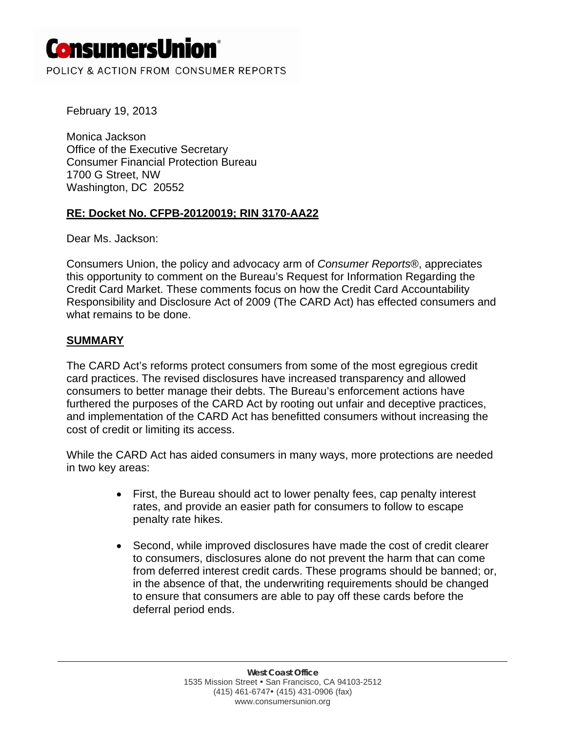# **ConsumersUnion**®

POLICY & ACTION FROM CONSUMER REPORTS

February 19, 2013

Monica Jackson Office of the Executive Secretary Consumer Financial Protection Bureau 1700 G Street, NW Washington, DC 20552

### **RE: Docket No. CFPB-20120019; RIN 3170-AA22**

Dear Ms. Jackson:

Consumers Union, the policy and advocacy arm of *Consumer Reports*®, appreciates this opportunity to comment on the Bureau's Request for Information Regarding the Credit Card Market. These comments focus on how the Credit Card Accountability Responsibility and Disclosure Act of 2009 (The CARD Act) has effected consumers and what remains to be done.

#### **SUMMARY**

The CARD Act's reforms protect consumers from some of the most egregious credit card practices. The revised disclosures have increased transparency and allowed consumers to better manage their debts. The Bureau's enforcement actions have furthered the purposes of the CARD Act by rooting out unfair and deceptive practices, and implementation of the CARD Act has benefitted consumers without increasing the cost of credit or limiting its access.

While the CARD Act has aided consumers in many ways, more protections are needed in two key areas:

- First, the Bureau should act to lower penalty fees, cap penalty interest rates, and provide an easier path for consumers to follow to escape penalty rate hikes.
- Second, while improved disclosures have made the cost of credit clearer to consumers, disclosures alone do not prevent the harm that can come from deferred interest credit cards. These programs should be banned; or, in the absence of that, the underwriting requirements should be changed to ensure that consumers are able to pay off these cards before the deferral period ends.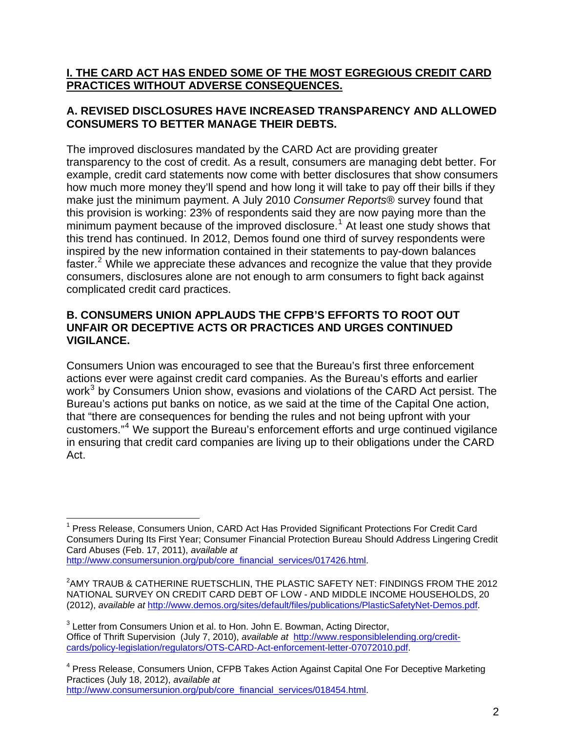## **I. THE CARD ACT HAS ENDED SOME OF THE MOST EGREGIOUS CREDIT CARD PRACTICES WITHOUT ADVERSE CONSEQUENCES.**

## **A. REVISED DISCLOSURES HAVE INCREASED TRANSPARENCY AND ALLOWED CONSUMERS TO BETTER MANAGE THEIR DEBTS.**

The improved disclosures mandated by the CARD Act are providing greater transparency to the cost of credit. As a result, consumers are managing debt better. For example, credit card statements now come with better disclosures that show consumers how much more money they'll spend and how long it will take to pay off their bills if they make just the minimum payment. A July 2010 *Consumer Reports*® survey found that this provision is working: 23% of respondents said they are now paying more than the minimum payment because of the improved disclosure.<sup>[1](#page-1-0)</sup> At least one study shows that this trend has continued. In 2012, Demos found one third of survey respondents were inspired by the new information contained in their statements to pay-down balances faster.<sup>[2](#page-1-1)</sup> While we appreciate these advances and recognize the value that they provide consumers, disclosures alone are not enough to arm consumers to fight back against complicated credit card practices.

## **B. CONSUMERS UNION APPLAUDS THE CFPB'S EFFORTS TO ROOT OUT UNFAIR OR DECEPTIVE ACTS OR PRACTICES AND URGES CONTINUED VIGILANCE.**

Consumers Union was encouraged to see that the Bureau's first three enforcement actions ever were against credit card companies. As the Bureau's efforts and earlier work<sup>[3](#page-1-2)</sup> by Consumers Union show, evasions and violations of the CARD Act persist. The Bureau's actions put banks on notice, as we said at the time of the Capital One action, that "there are consequences for bending the rules and not being upfront with your customers."[4](#page-1-3) We support the Bureau's enforcement efforts and urge continued vigilance in ensuring that credit card companies are living up to their obligations under the CARD Act.

<span id="page-1-3"></span><sup>4</sup> Press Release, Consumers Union, CFPB Takes Action Against Capital One For Deceptive Marketing Practices (July 18, 2012), *available at*  [http://www.consumersunion.org/pub/core\\_financial\\_services/018454.html](http://www.consumersunion.org/pub/core_financial_services/018454.html).

<span id="page-1-0"></span> $\overline{a}$ <sup>1</sup> Press Release, Consumers Union, CARD Act Has Provided Significant Protections For Credit Card Consumers During Its First Year; Consumer Financial Protection Bureau Should Address Lingering Credit Card Abuses (Feb. 17, 2011), *available at* http://www.consumersunion.org/pub/core\_financial\_services/017426.html.

<span id="page-1-1"></span> $^2$ AMY TRAUB & CATHERINE RUETSCHLIN, THE PLASTIC SAFETY NET: FINDINGS FROM THE 2012 NATIONAL SURVEY ON CREDIT CARD DEBT OF LOW - AND MIDDLE INCOME HOUSEHOLDS, 20 (2012), *available at* [http://www.demos.org/sites/default/files/publications/PlasticSafetyNet-Demos.pdf.](http://www.demos.org/sites/default/files/publications/PlasticSafetyNet-Demos.pdf)

<span id="page-1-2"></span> $3$  Letter from Consumers Union et al. to Hon. John E. Bowman, Acting Director, Office of Thrift Supervision (July 7, 2010), *available at* [http://www.responsiblelending.org/credit](http://www.responsiblelending.org/credit-cards/policy-legislation/regulators/OTS-CARD-Act-enforcement-letter-07072010.pdf)[cards/policy-legislation/regulators/OTS-CARD-Act-enforcement-letter-07072010.pdf.](http://www.responsiblelending.org/credit-cards/policy-legislation/regulators/OTS-CARD-Act-enforcement-letter-07072010.pdf)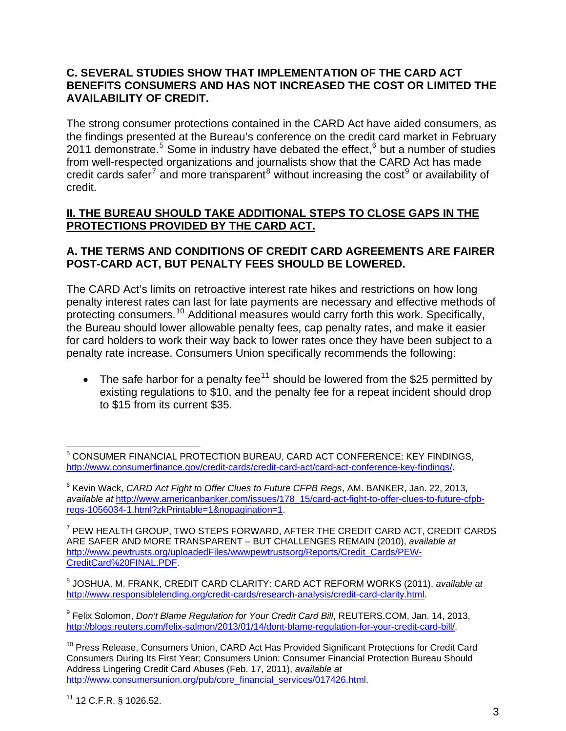#### **C. SEVERAL STUDIES SHOW THAT IMPLEMENTATION OF THE CARD ACT BENEFITS CONSUMERS AND HAS NOT INCREASED THE COST OR LIMITED THE AVAILABILITY OF CREDIT.**

The strong consumer protections contained in the CARD Act have aided consumers, as the findings presented at the Bureau's conference on the credit card market in February 2011 demonstrate.<sup>[5](#page-2-0)</sup> Some in industry have debated the effect,<sup>[6](#page-2-1)</sup> but a number of studies from well-respected organizations and journalists show that the CARD Act has made credit cards safer<sup>[7](#page-2-2)</sup> and more transparent<sup>[8](#page-2-3)</sup> without increasing the cost<sup>[9](#page-2-4)</sup> or availability of credit.

## **II. THE BUREAU SHOULD TAKE ADDITIONAL STEPS TO CLOSE GAPS IN THE PROTECTIONS PROVIDED BY THE CARD ACT.**

## **A. THE TERMS AND CONDITIONS OF CREDIT CARD AGREEMENTS ARE FAIRER POST-CARD ACT, BUT PENALTY FEES SHOULD BE LOWERED.**

The CARD Act's limits on retroactive interest rate hikes and restrictions on how long penalty interest rates can last for late payments are necessary and effective methods of protecting consumers.<sup>[10](#page-2-5)</sup> Additional measures would carry forth this work. Specifically, the Bureau should lower allowable penalty fees, cap penalty rates, and make it easier for card holders to work their way back to lower rates once they have been subject to a penalty rate increase. Consumers Union specifically recommends the following:

• The safe harbor for a penalty fee<sup>[11](#page-2-6)</sup> should be lowered from the \$25 permitted by existing regulations to \$10, and the penalty fee for a repeat incident should drop to \$15 from its current \$35.

<span id="page-2-0"></span> $\overline{a}$ 5 CONSUMER FINANCIAL PROTECTION BUREAU, CARD ACT CONFERENCE: KEY FINDINGS, http://www.consumerfinance.gov/credit-cards/credit-card-act/card-act-conference-key-findings/.

<span id="page-2-1"></span><sup>6</sup> Kevin Wack, *CARD Act Fight to Offer Clues to Future CFPB Regs*, AM. BANKER, Jan. 22, 2013, *available at* [http://www.americanbanker.com/issues/178\\_15/card-act-fight-to-offer-clues-to-future-cfpb](http://www.americanbanker.com/issues/178_15/card-act-fight-to-offer-clues-to-future-cfpb-regs-1056034-1.html?zkPrintable=1&nopagination=1)[regs-1056034-1.html?zkPrintable=1&nopagination=1](http://www.americanbanker.com/issues/178_15/card-act-fight-to-offer-clues-to-future-cfpb-regs-1056034-1.html?zkPrintable=1&nopagination=1).

<span id="page-2-2"></span><sup>7</sup> PEW HEALTH GROUP, TWO STEPS FORWARD, AFTER THE CREDIT CARD ACT, CREDIT CARDS ARE SAFER AND MORE TRANSPARENT – BUT CHALLENGES REMAIN (2010), *available at*  [http://www.pewtrusts.org/uploadedFiles/wwwpewtrustsorg/Reports/Credit\\_Cards/PEW-](http://www.pewtrusts.org/uploadedFiles/wwwpewtrustsorg/Reports/Credit_Cards/PEW-CreditCard%20FINAL.PDF)[CreditCard%20FINAL.PDF.](http://www.pewtrusts.org/uploadedFiles/wwwpewtrustsorg/Reports/Credit_Cards/PEW-CreditCard%20FINAL.PDF)

<span id="page-2-3"></span><sup>8</sup> JOSHUA. M. FRANK, CREDIT CARD CLARITY: CARD ACT REFORM WORKS (2011), *available at* <http://www.responsiblelending.org/credit-cards/research-analysis/credit-card-clarity.html>.

<span id="page-2-4"></span><sup>9</sup> Felix Solomon, *Don't Blame Regulation for Your Credit Card Bill*, REUTERS.COM, Jan. 14, 2013, <http://blogs.reuters.com/felix-salmon/2013/01/14/dont-blame-regulation-for-your-credit-card-bill/>.

<span id="page-2-6"></span><span id="page-2-5"></span><sup>&</sup>lt;sup>10</sup> Press Release, Consumers Union, CARD Act Has Provided Significant Protections for Credit Card Consumers During Its First Year; Consumers Union: Consumer Financial Protection Bureau Should Address Lingering Credit Card Abuses (Feb. 17, 2011), *available at*  [http://www.consumersunion.org/pub/core\\_financial\\_services/017426.html](http://www.consumersunion.org/pub/core_financial_services/017426.html).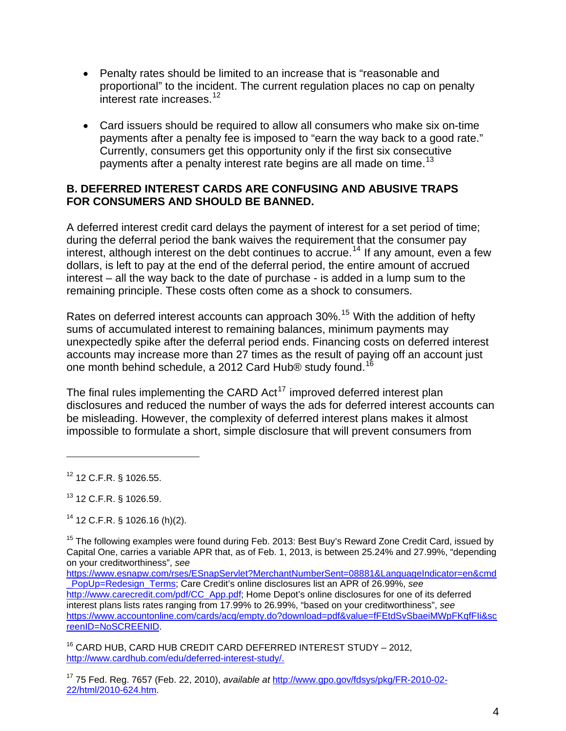- Penalty rates should be limited to an increase that is "reasonable and proportional" to the incident. The current regulation places no cap on penalty interest rate increases.<sup>[12](#page-3-0)</sup>
- Card issuers should be required to allow all consumers who make six on-time payments after a penalty fee is imposed to "earn the way back to a good rate." Currently, consumers get this opportunity only if the first six consecutive payments after a penalty interest rate begins are all made on time.<sup>[13](#page-3-1)</sup>

### **B. DEFERRED INTEREST CARDS ARE CONFUSING AND ABUSIVE TRAPS FOR CONSUMERS AND SHOULD BE BANNED.**

A deferred interest credit card delays the payment of interest for a set period of time; during the deferral period the bank waives the requirement that the consumer pay interest, although interest on the debt continues to accrue.<sup>[14](#page-3-2)</sup> If any amount, even a few dollars, is left to pay at the end of the deferral period, the entire amount of accrued interest – all the way back to the date of purchase - is added in a lump sum to the remaining principle. These costs often come as a shock to consumers.

Rates on deferred interest accounts can approach 30%.<sup>[15](#page-3-3)</sup> With the addition of hefty sums of accumulated interest to remaining balances, minimum payments may unexpectedly spike after the deferral period ends. Financing costs on deferred interest accounts may increase more than 27 times as the result of paying off an account just one month behind schedule, a 2012 Card Hub® study found.<sup>[16](#page-3-4)</sup>

The final rules implementing the CARD Act<sup>[17](#page-3-5)</sup> improved deferred interest plan disclosures and reduced the number of ways the ads for deferred interest accounts can be misleading. However, the complexity of deferred interest plans makes it almost impossible to formulate a short, simple disclosure that will prevent consumers from

 $\overline{a}$ 

<span id="page-3-4"></span><sup>16</sup> CARD HUB, CARD HUB CREDIT CARD DEFERRED INTEREST STUDY - 2012, [http://www.cardhub.com/edu/deferred-interest-study/.](http://www.cardhub.com/edu/deferred-interest-study/)

<span id="page-3-0"></span><sup>12 12</sup> C.F.R. § 1026.55.

<span id="page-3-1"></span><sup>13 12</sup> C.F.R. § 1026.59.

<span id="page-3-2"></span> $14$  12 C.F.R. § 1026.16 (h)(2).

<span id="page-3-3"></span><sup>&</sup>lt;sup>15</sup> The following examples were found during Feb. 2013: Best Buy's Reward Zone Credit Card, issued by Capital One, carries a variable APR that, as of Feb. 1, 2013, is between 25.24% and 27.99%, "depending on your creditworthiness", *see*

[https://www.esnapw.com/rses/ESnapServlet?MerchantNumberSent=08881&LanguageIndicator=en&cmd](https://www.esnapw.com/rses/ESnapServlet?MerchantNumberSent=08881&LanguageIndicator=en&cmd_PopUp=Redesign_Terms) [\\_PopUp=Redesign\\_Terms](https://www.esnapw.com/rses/ESnapServlet?MerchantNumberSent=08881&LanguageIndicator=en&cmd_PopUp=Redesign_Terms); Care Credit's online disclosures list an APR of 26.99%, *see* [http://www.carecredit.com/pdf/CC\\_App.pdf;](http://www.carecredit.com/pdf/CC_App.pdf) Home Depot's online disclosures for one of its deferred interest plans lists rates ranging from 17.99% to 26.99%, "based on your creditworthiness", *see* [https://www.accountonline.com/cards/acq/empty.do?download=pdf&value=fFEtdSvSbaeiMWpFKqfFIi&sc](https://www.accountonline.com/cards/acq/empty.do?download=pdf&value=fFEtdSvSbaeiMWpFKqfFIi&screenID=NoSCREENID) [reenID=NoSCREENID](https://www.accountonline.com/cards/acq/empty.do?download=pdf&value=fFEtdSvSbaeiMWpFKqfFIi&screenID=NoSCREENID).

<span id="page-3-5"></span><sup>17 75</sup> Fed. Reg. 7657 (Feb. 22, 2010), *available at* http://www.gpo.gov/fdsys/pkg/FR-2010-02- 22/html/2010-624.htm.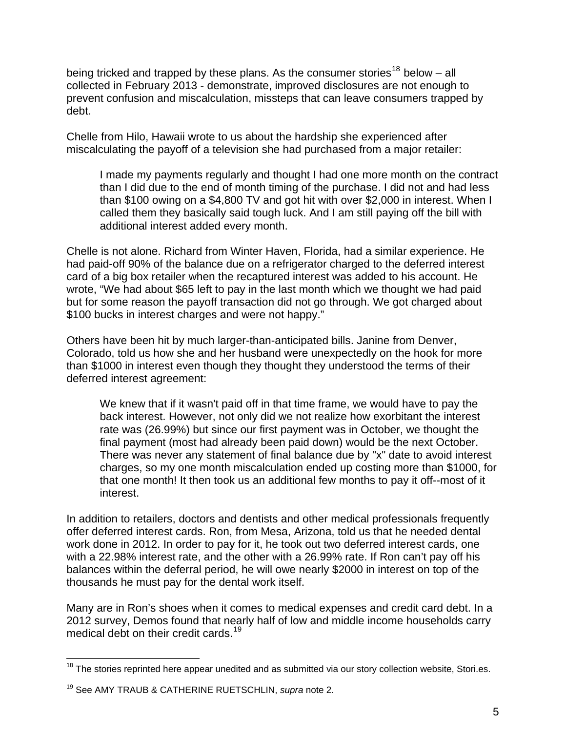being tricked and trapped by these plans. As the consumer stories<sup>[18](#page-4-0)</sup> below – all collected in February 2013 - demonstrate, improved disclosures are not enough to prevent confusion and miscalculation, missteps that can leave consumers trapped by debt.

Chelle from Hilo, Hawaii wrote to us about the hardship she experienced after miscalculating the payoff of a television she had purchased from a major retailer:

I made my payments regularly and thought I had one more month on the contract than I did due to the end of month timing of the purchase. I did not and had less than \$100 owing on a \$4,800 TV and got hit with over \$2,000 in interest. When I called them they basically said tough luck. And I am still paying off the bill with additional interest added every month.

Chelle is not alone. Richard from Winter Haven, Florida, had a similar experience. He had paid-off 90% of the balance due on a refrigerator charged to the deferred interest card of a big box retailer when the recaptured interest was added to his account. He wrote, "We had about \$65 left to pay in the last month which we thought we had paid but for some reason the payoff transaction did not go through. We got charged about \$100 bucks in interest charges and were not happy."

Others have been hit by much larger-than-anticipated bills. Janine from Denver, Colorado, told us how she and her husband were unexpectedly on the hook for more than \$1000 in interest even though they thought they understood the terms of their deferred interest agreement:

We knew that if it wasn't paid off in that time frame, we would have to pay the back interest. However, not only did we not realize how exorbitant the interest rate was (26.99%) but since our first payment was in October, we thought the final payment (most had already been paid down) would be the next October. There was never any statement of final balance due by "x" date to avoid interest charges, so my one month miscalculation ended up costing more than \$1000, for that one month! It then took us an additional few months to pay it off--most of it interest.

In addition to retailers, doctors and dentists and other medical professionals frequently offer deferred interest cards. Ron, from Mesa, Arizona, told us that he needed dental work done in 2012. In order to pay for it, he took out two deferred interest cards, one with a 22.98% interest rate, and the other with a 26.99% rate. If Ron can't pay off his balances within the deferral period, he will owe nearly \$2000 in interest on top of the thousands he must pay for the dental work itself.

Many are in Ron's shoes when it comes to medical expenses and credit card debt. In a 2012 survey, Demos found that nearly half of low and middle income households carry medical debt on their credit cards.<sup>[19](#page-4-1)</sup>

<span id="page-4-0"></span><sup>1</sup>  $18$  The stories reprinted here appear unedited and as submitted via our story collection website, Stori.es.

<span id="page-4-1"></span><sup>19</sup> See AMY TRAUB & CATHERINE RUETSCHLIN, *supra* note 2.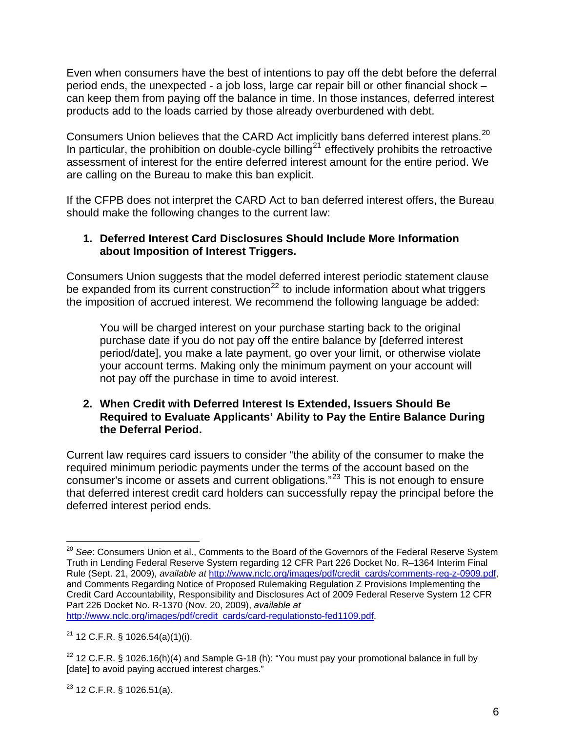Even when consumers have the best of intentions to pay off the debt before the deferral period ends, the unexpected - a job loss, large car repair bill or other financial shock – can keep them from paying off the balance in time. In those instances, deferred interest products add to the loads carried by those already overburdened with debt.

Consumers Union believes that the CARD Act implicitly bans deferred interest plans.[20](#page-5-0) In particular, the prohibition on double-cycle billing<sup>[21](#page-5-1)</sup> effectively prohibits the retroactive assessment of interest for the entire deferred interest amount for the entire period. We are calling on the Bureau to make this ban explicit.

If the CFPB does not interpret the CARD Act to ban deferred interest offers, the Bureau should make the following changes to the current law:

### **1. Deferred Interest Card Disclosures Should Include More Information about Imposition of Interest Triggers.**

Consumers Union suggests that the model deferred interest periodic statement clause be expanded from its current construction<sup>[22](#page-5-2)</sup> to include information about what triggers the imposition of accrued interest. We recommend the following language be added:

You will be charged interest on your purchase starting back to the original purchase date if you do not pay off the entire balance by [deferred interest period/date], you make a late payment, go over your limit, or otherwise violate your account terms. Making only the minimum payment on your account will not pay off the purchase in time to avoid interest.

#### **2. When Credit with Deferred Interest Is Extended, Issuers Should Be Required to Evaluate Applicants' Ability to Pay the Entire Balance During the Deferral Period.**

Current law requires card issuers to consider "the ability of the consumer to make the required minimum periodic payments under the terms of the account based on the consumer's income or assets and current obligations."[23](#page-5-3) This is not enough to ensure that deferred interest credit card holders can successfully repay the principal before the deferred interest period ends.

<span id="page-5-0"></span> $\overline{a}$ <sup>20</sup> *See*: Consumers Union et al., Comments to the Board of the Governors of the Federal Reserve System Truth in Lending Federal Reserve System regarding 12 CFR Part 226 Docket No. R–1364 Interim Final Rule (Sept. 21, 2009), *available at* [http://www.nclc.org/images/pdf/credit\\_cards/comments-reg-z-0909.pdf,](http://www.nclc.org/images/pdf/credit_cards/comments-reg-z-0909.pdf) and Comments Regarding Notice of Proposed Rulemaking Regulation Z Provisions Implementing the Credit Card Accountability, Responsibility and Disclosures Act of 2009 Federal Reserve System 12 CFR Part 226 Docket No. R-1370 (Nov. 20, 2009), *available at*  [http://www.nclc.org/images/pdf/credit\\_cards/card-regulationsto-fed1109.pdf.](http://www.nclc.org/images/pdf/credit_cards/card-regulationsto-fed1109.pdf)

<span id="page-5-1"></span> $21$  12 C.F.R. § 1026.54(a)(1)(i).

<span id="page-5-2"></span> $22$  12 C.F.R. § 1026.16(h)(4) and Sample G-18 (h): "You must pay your promotional balance in full by [date] to avoid paying accrued interest charges."

<span id="page-5-3"></span> $23$  12 C.F.R. § 1026.51(a).